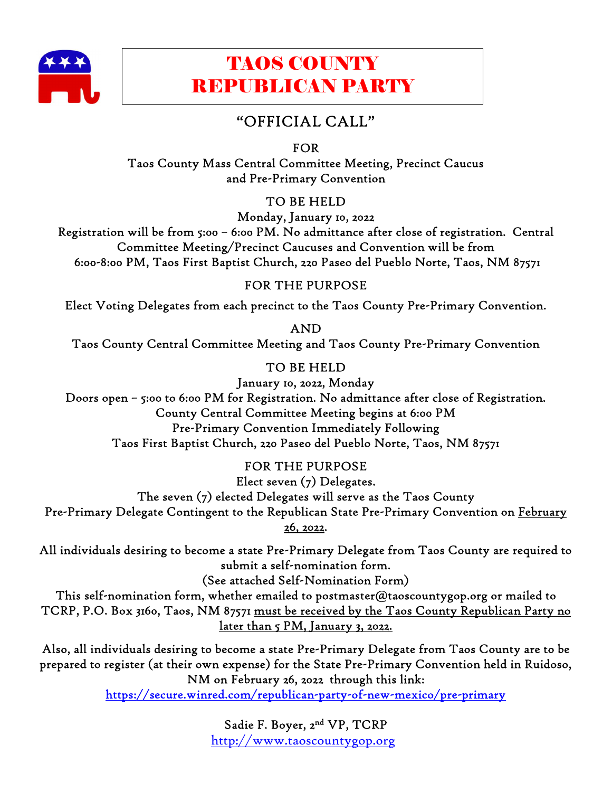

# TAOS COUNTY REPUBLICAN PARTY

# "OFFICIAL CALL"

FOR

Taos County Mass Central Committee Meeting, Precinct Caucus and Pre-Primary Convention

TO BE HELD

Monday, January 10, 2022 Registration will be from 5:00 – 6:00 PM. No admittance after close of registration. Central Committee Meeting/Precinct Caucuses and Convention will be from 6:00-8:00 PM, Taos First Baptist Church, 220 Paseo del Pueblo Norte, Taos, NM 87571

# FOR THE PURPOSE

Elect Voting Delegates from each precinct to the Taos County Pre-Primary Convention.

AND Taos County Central Committee Meeting and Taos County Pre-Primary Convention

TO BE HELD

January 10, 2022, Monday Doors open – 5:00 to 6:00 PM for Registration. No admittance after close of Registration. County Central Committee Meeting begins at 6:00 PM Pre-Primary Convention Immediately Following Taos First Baptist Church, 220 Paseo del Pueblo Norte, Taos, NM 87571

FOR THE PURPOSE Elect seven (7) Delegates. The seven (7) elected Delegates will serve as the Taos County Pre-Primary Delegate Contingent to the Republican State Pre-Primary Convention on February

26, 2022.

All individuals desiring to become a state Pre-Primary Delegate from Taos County are required to submit a self-nomination form.

(See attached Self-Nomination Form)

This self-nomination form, whether emailed to postmaster@taoscountygop.org or mailed to TCRP, P.O. Box 3160, Taos, NM 87571 must be received by the Taos County Republican Party no later than 5 PM, January 3, 2022.

Also, all individuals desiring to become a state Pre-Primary Delegate from Taos County are to be prepared to register (at their own expense) for the State Pre-Primary Convention held in Ruidoso, NM on February 26, 2022 through this link:

https://secure.winred.com/republican-party-of-new-mexico/pre-primary

Sadie F. Boyer, 2nd VP, TCRP http://www.taoscountygop.org